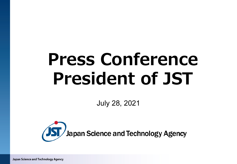# **Press Conference President of JST**

July 28, 2021

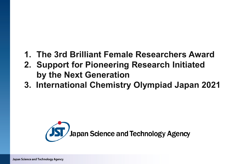## **1. The 3rd Brilliant Female Researchers Award**

- **2. Support for Pioneering Research Initiated by the Next Generation**
- **3. International Chemistry Olympiad Japan 2021**

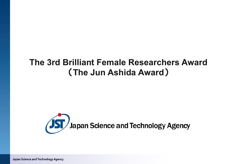### **The 3rd Brilliant Female Researchers Award**  (**The Jun Ashida Award**)

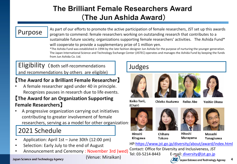### **The Brilliant Female Researchers Award** (**The Jun Ashida Award**)

### Purpose

As part of our efforts to promote the active participation of female researchers, JST set up this awards program to commend: female researchers working on outstanding research that contributes to a sustainable future society; organizations supporting female researchers' activities. The Ashida Fund\* will cooperate to provide a supplementary prize of 1 million yen.

\*The Ashida Fund was established in 1994 by the late fashion designer Jun Ashida for the purpose of nurturing the younger generation. The Japan International Science and Technology Exchange Center (JISTEC) operates and manages the Ashida Fund by keeping the funds from Jun Ashida Co. Ltd.

Eligibility (Both self-recommendations and recommendations by others are eligible)

#### 【**The Award for a Brilliant Female Researcher**】

• A female researcher aged under 40 in principle. Recognizes pauses in research due to life events.

#### 【**The Award for an Organization Supporting Female Researchers**】

• A progressive organization carrying out initiatives contributing to greater involvement of female researchers, serving as a model for other organization.

### 2021 Schedule

- Application: April 1st June 30th (12:00 pm)
- Selection: Early July to the end of August
- Announcement and Ceremony : November 3rd (wed) Contact: UTRCE for

(Venue: Miraikan)

# Judges







**Reiko Abe** 



Keiko Torii. (Chair)

Chieko Asakawa

Yoshie Okusa











Hiroshi **Kitagawa**  Chiharu **Tokoro** 

Hitoshi **Murayama** 

Masashi Yanagisawa

HP[:https://www.jst.go.jp/diversity/about/award/index.html](https://www.jst.go.jp/diversity/about/award/index.html) Contact: Office for Diversity and Inclusiveness, JST E-mail: [diversity@jst.go.jp](mailto:diversity@jst.go.jp) JST Japan Science and Technology Agency **4**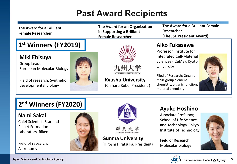# **Past Award Recipients**

| The Award for a Brilliant<br><b>Female Researcher</b>                                                               | The Award for an Organization<br>in Supporting a Brilliant<br><b>Female Researcher</b> | The Award for a Brilliant Female<br>Researcher<br>(The JST President Award)                                                                                                         |  |
|---------------------------------------------------------------------------------------------------------------------|----------------------------------------------------------------------------------------|-------------------------------------------------------------------------------------------------------------------------------------------------------------------------------------|--|
| 1 <sup>st</sup> Winners (FY2019)                                                                                    |                                                                                        | Aiko Fukasawa<br>Professor, Institute for                                                                                                                                           |  |
| Miki Ebisuya<br>Group Leader<br>European Molecular Biology<br>Field of research: Synthetic<br>developmental biology | 九州大学<br>KYUSHU UNIVERSIT!<br><b>Kyushu University</b><br>(Chiharu Kubo, President)     | <b>Integrated Cell-Material</b><br>Sciences (iCeMS), Kyoto<br>University<br>Filed of Research: Organic<br>main-group element<br>chemistry, organic functional<br>material chemistry |  |

### **2nd Winners (FY2020)**

**Nami Sakai**

Chief Scientist, Star and Planet Formation Laboratory, Riken

Field of research: Astronomy





群馬大学

**Gunma University**  (Hiroshi Hiratsuka, President)

#### **Ayuko Hoshino**

Associate Professor, School of Life Science and Technology, Tokyo Institute of Technology

Field of Research: Molecular biology



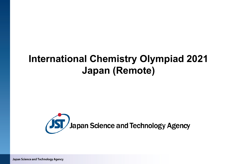# **International Chemistry Olympiad 2021 Japan (Remote)**

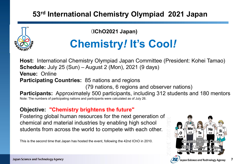### **53rd International Chemistry Olympiad 2021 Japan**

(**IChO2021 Japan)**

# **Chemistry***!* **It's Cool***!*

**Host:** International Chemistry Olympiad Japan Committee (President: Kohei Tamao) **Schedule:** July 25 (Sun) – August 2 (Mon), 2021 (9 days) **Venue:** Online **Participating Countries:** 85 nations and regions (79 nations, 6 regions and observer nations) **Participants:** Approximately 500 participants, including 312 students and 180 mentors Note: The numbers of participating nations and participants were calculated as of July 26.

### **Objective: "Chemistry brightens the future"**

Fostering global human resources for the next generation of chemical and material industries by enabling high school students from across the world to compete with each other.

This is the second time that Japan has hosted the event, following the 42nd IChO in 2010.



**7**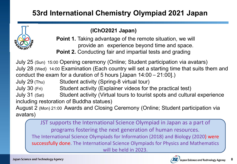### **53rd International Chemistry Olympiad 2021 Japan**

#### **(IChO2021 Japan)**

**Point 1.** Taking advantage of the remote situation, we will provide an experience beyond time and space. **Point 2.** Conducting fair and impartial tests and grading

July 25 (Sun) 15:00 Opening ceremony (Online; Student participation via avatars) July 28 (Wed) 14:00 Examination (Each country will set a starting time that suits them and conduct the exam for a duration of 5 hours [Japan 14:00 – 21:00].)

July 29 (Thu) Student activity (Spring-8 virtual tour)

July 30 (Fri) Student activity (Explainer videos for the practical test)

July 31 (Sat) Student activity (Virtual tours to tourist spots and cultural experience including restoration of Buddha statues)

August 2 (Mon) 21:00 Awards and Closing Ceremony (Online; Student participation via avatars)

JST supports the International Science Olympiad in Japan as a part of programs fostering the next generation of human resources. The International Science Olympiads for Information (2018) and Biology (2020) were successfully done. The International Science Olympiads for Physics and Mathematics will be held in 2023.